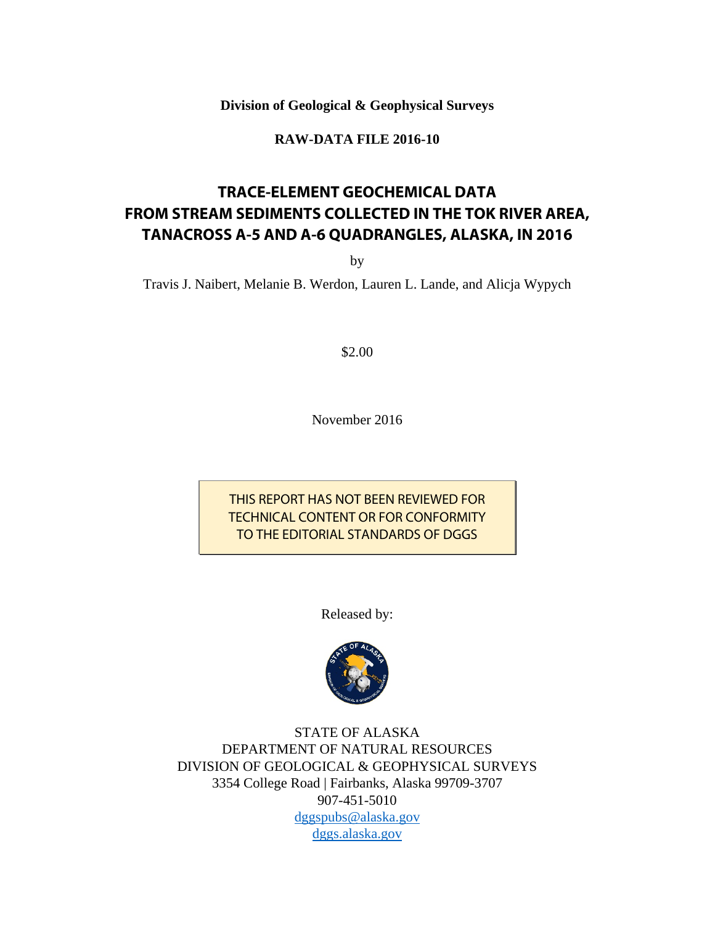**Division of Geological & Geophysical Surveys** 

**RAW-DATA FILE 2016-10** 

# **TRACE-ELEMENT GEOCHEMICAL DATA FROM STREAM SEDIMENTS COLLECTED IN THE TOK RIVER AREA, TANACROSS A-5 AND A-6 QUADRANGLES, ALASKA, IN 2016**

by

Travis J. Naibert, Melanie B. Werdon, Lauren L. Lande, and Alicja Wypych

\$2.00

November 2016

THIS REPORT HAS NOT BEEN REVIEWED FOR TECHNICAL CONTENT OR FOR CONFORMITY TO THE EDITORIAL STANDARDS OF DGGS

Released by:



STATE OF ALASKA DEPARTMENT OF NATURAL RESOURCES DIVISION OF GEOLOGICAL & GEOPHYSICAL SURVEYS 3354 College Road | Fairbanks, Alaska 99709-3707 907-451-5010 dggspubs@alaska.gov dggs.alaska.gov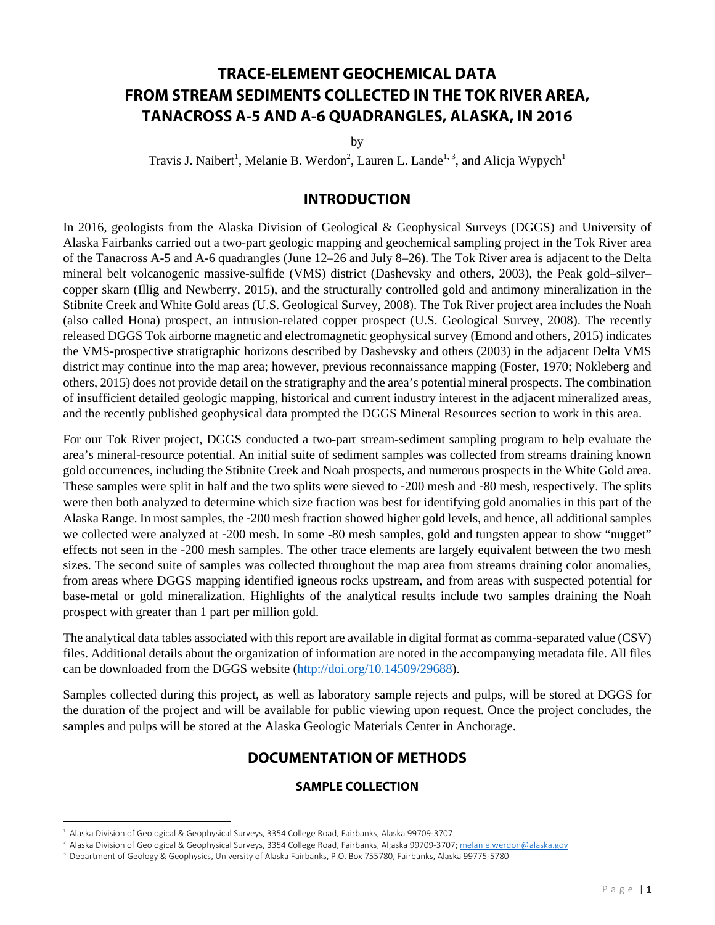# **TRACE-ELEMENT GEOCHEMICAL DATA FROM STREAM SEDIMENTS COLLECTED IN THE TOK RIVER AREA, TANACROSS A-5 AND A-6 QUADRANGLES, ALASKA, IN 2016**

by

Travis J. Naibert<sup>1</sup>, Melanie B. Werdon<sup>2</sup>, Lauren L. Lande<sup>1, 3</sup>, and Alicja Wypych<sup>1</sup>

## **INTRODUCTION**

In 2016, geologists from the Alaska Division of Geological & Geophysical Surveys (DGGS) and University of Alaska Fairbanks carried out a two-part geologic mapping and geochemical sampling project in the Tok River area of the Tanacross A-5 and A-6 quadrangles (June 12–26 and July 8–26). The Tok River area is adjacent to the Delta mineral belt volcanogenic massive-sulfide (VMS) district (Dashevsky and others, 2003), the Peak gold–silver– copper skarn (Illig and Newberry, 2015), and the structurally controlled gold and antimony mineralization in the Stibnite Creek and White Gold areas (U.S. Geological Survey, 2008). The Tok River project area includes the Noah (also called Hona) prospect, an intrusion-related copper prospect (U.S. Geological Survey, 2008). The recently released DGGS Tok airborne magnetic and electromagnetic geophysical survey (Emond and others, 2015) indicates the VMS-prospective stratigraphic horizons described by Dashevsky and others (2003) in the adjacent Delta VMS district may continue into the map area; however, previous reconnaissance mapping (Foster, 1970; Nokleberg and others, 2015) does not provide detail on the stratigraphy and the area's potential mineral prospects. The combination of insufficient detailed geologic mapping, historical and current industry interest in the adjacent mineralized areas, and the recently published geophysical data prompted the DGGS Mineral Resources section to work in this area.

For our Tok River project, DGGS conducted a two-part stream-sediment sampling program to help evaluate the area's mineral-resource potential. An initial suite of sediment samples was collected from streams draining known gold occurrences, including the Stibnite Creek and Noah prospects, and numerous prospects in the White Gold area. These samples were split in half and the two splits were sieved to -200 mesh and -80 mesh, respectively. The splits were then both analyzed to determine which size fraction was best for identifying gold anomalies in this part of the Alaska Range. In most samples, the -200 mesh fraction showed higher gold levels, and hence, all additional samples we collected were analyzed at -200 mesh. In some -80 mesh samples, gold and tungsten appear to show "nugget" effects not seen in the -200 mesh samples. The other trace elements are largely equivalent between the two mesh sizes. The second suite of samples was collected throughout the map area from streams draining color anomalies, from areas where DGGS mapping identified igneous rocks upstream, and from areas with suspected potential for base-metal or gold mineralization. Highlights of the analytical results include two samples draining the Noah prospect with greater than 1 part per million gold.

The analytical data tables associated with this report are available in digital format as comma-separated value (CSV) files. Additional details about the organization of information are noted in the accompanying metadata file. All files can be downloaded from the DGGS website (http://doi.org/10.14509/29688).

Samples collected during this project, as well as laboratory sample rejects and pulps, will be stored at DGGS for the duration of the project and will be available for public viewing upon request. Once the project concludes, the samples and pulps will be stored at the Alaska Geologic Materials Center in Anchorage.

### **DOCUMENTATION OF METHODS**

#### **SAMPLE COLLECTION**

<sup>2</sup> Alaska Division of Geological & Geophysical Surveys, 3354 College Road, Fairbanks, Al;aska 99709‐3707; melanie.werdon@alaska.gov

<sup>1</sup> Alaska Division of Geological & Geophysical Surveys, 3354 College Road, Fairbanks, Alaska 99709‐3707

<sup>3</sup> Department of Geology & Geophysics, University of Alaska Fairbanks, P.O. Box 755780, Fairbanks, Alaska 99775‐5780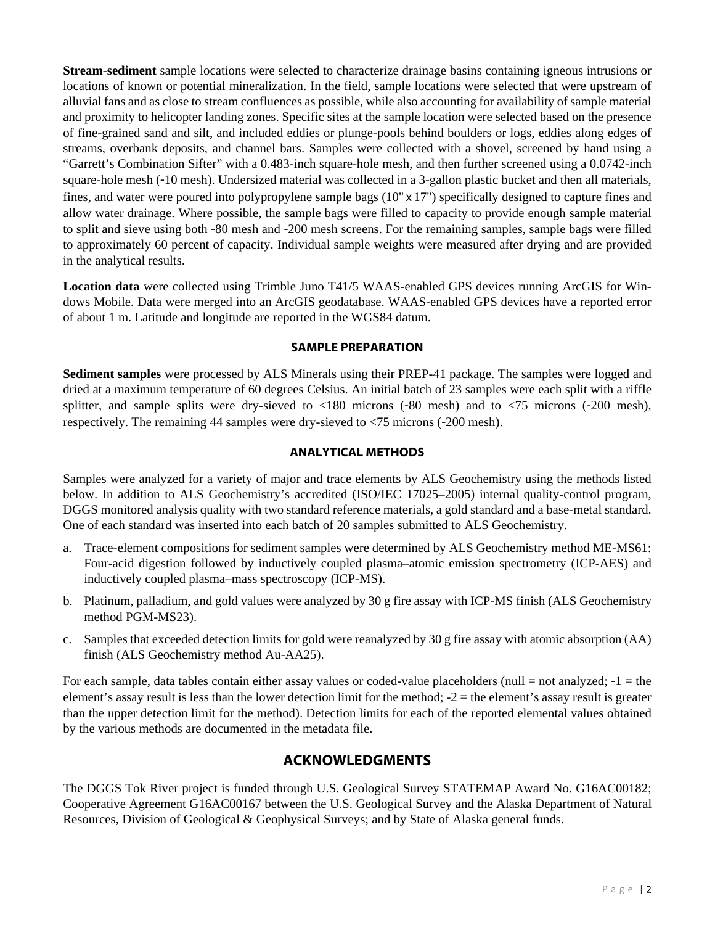**Stream-sediment** sample locations were selected to characterize drainage basins containing igneous intrusions or locations of known or potential mineralization. In the field, sample locations were selected that were upstream of alluvial fans and as close to stream confluences as possible, while also accounting for availability of sample material and proximity to helicopter landing zones. Specific sites at the sample location were selected based on the presence of fine-grained sand and silt, and included eddies or plunge-pools behind boulders or logs, eddies along edges of streams, overbank deposits, and channel bars. Samples were collected with a shovel, screened by hand using a "Garrett's Combination Sifter" with a 0.483-inch square-hole mesh, and then further screened using a 0.0742-inch square-hole mesh (-10 mesh). Undersized material was collected in a 3-gallon plastic bucket and then all materials, fines, and water were poured into polypropylene sample bags (10" x 17") specifically designed to capture fines and allow water drainage. Where possible, the sample bags were filled to capacity to provide enough sample material to split and sieve using both -80 mesh and -200 mesh screens. For the remaining samples, sample bags were filled to approximately 60 percent of capacity. Individual sample weights were measured after drying and are provided in the analytical results.

**Location data** were collected using Trimble Juno T41/5 WAAS-enabled GPS devices running ArcGIS for Windows Mobile. Data were merged into an ArcGIS geodatabase. WAAS-enabled GPS devices have a reported error of about 1 m. Latitude and longitude are reported in the WGS84 datum.

#### **SAMPLE PREPARATION**

**Sediment samples** were processed by ALS Minerals using their PREP-41 package. The samples were logged and dried at a maximum temperature of 60 degrees Celsius. An initial batch of 23 samples were each split with a riffle splitter, and sample splits were dry-sieved to <180 microns (-80 mesh) and to <75 microns (-200 mesh), respectively. The remaining 44 samples were dry-sieved to <75 microns (-200 mesh).

#### **ANALYTICAL METHODS**

Samples were analyzed for a variety of major and trace elements by ALS Geochemistry using the methods listed below. In addition to ALS Geochemistry's accredited (ISO/IEC 17025-2005) internal quality-control program, DGGS monitored analysis quality with two standard reference materials, a gold standard and a base-metal standard. One of each standard was inserted into each batch of 20 samples submitted to ALS Geochemistry.

- a. Trace-element compositions for sediment samples were determined by ALS Geochemistry method ME-MS61: Four-acid digestion followed by inductively coupled plasma–atomic emission spectrometry (ICP-AES) and inductively coupled plasma–mass spectroscopy (ICP-MS).
- b. Platinum, palladium, and gold values were analyzed by 30 g fire assay with ICP-MS finish (ALS Geochemistry method PGM-MS23).
- c. Samples that exceeded detection limits for gold were reanalyzed by 30 g fire assay with atomic absorption (AA) finish (ALS Geochemistry method Au-AA25).

For each sample, data tables contain either assay values or coded-value placeholders (null  $=$  not analyzed;  $-1$   $=$  the element's assay result is less than the lower detection limit for the method;  $-2$  = the element's assay result is greater than the upper detection limit for the method). Detection limits for each of the reported elemental values obtained by the various methods are documented in the metadata file.

# **ACKNOWLEDGMENTS**

The DGGS Tok River project is funded through U.S. Geological Survey STATEMAP Award No. G16AC00182; Cooperative Agreement G16AC00167 between the U.S. Geological Survey and the Alaska Department of Natural Resources, Division of Geological & Geophysical Surveys; and by State of Alaska general funds.